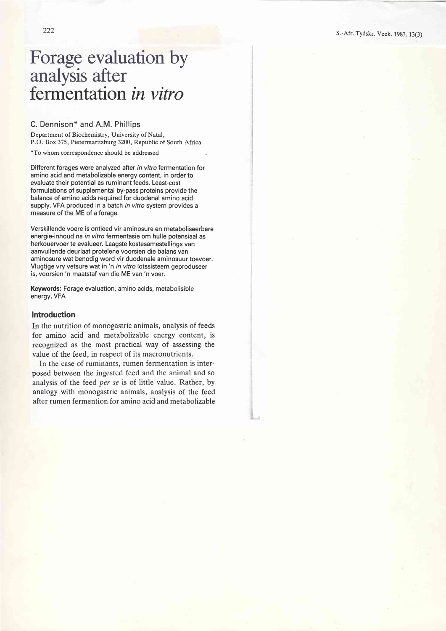# Forage evaluation by analysis after fermentation *in vitro*

## C. Dennison\* and A.M. Phillips

Department of Biochemistry, University of Natal, P.O. Box 375, Pietermaritzburg 3200, Republic of South Africa

\*To whom correspondence should be addressed

Different forages were analyzed after in vitro fermentation for amino acid and metabolizable energy content, in order to evaluate their potential as ruminant feeds. Least-cost formulations of supplemental by-pass proteins provide the balance of amino acids required for duodenal amino acid supply. VFA produced in a batch in vitro system provides a measure of the ME of a forage.

Verskillende voere is ontleed vir aminosure en metaboliseerbare energie-inhoud na in vitro fermentasie om hulle potensiaal as herkouervoer te evalueer. Laagste kostesamestellings van aanvullende deurlaat proteïene voorsien die balans van aminosure wat benodig word vir duodenale aminosuur toevoer. Vlugtige vry vetsure wat in 'n in vitro lotssisteem geproduseer is, voorsien 'n maatstaf van die ME van 'n voer.

Keywords: Forage evaluation, amino acids, metabolisible energy, VFA

#### **Introduction**

In the nutrition of monogastric animals, analysis of feeds for amino acid and metabolizable energy content, is recognized as the most practical way of assessing the value of the feed, in respect of its macronutrients.

In the case of ruminants, rumen fermentation is interposed between the ingested feed and the animal and so analysis of the feed per se is of little value. Rather, by analogy with monogastric animals, analysis of the feed after rumen fermention for amino acid and metabolizable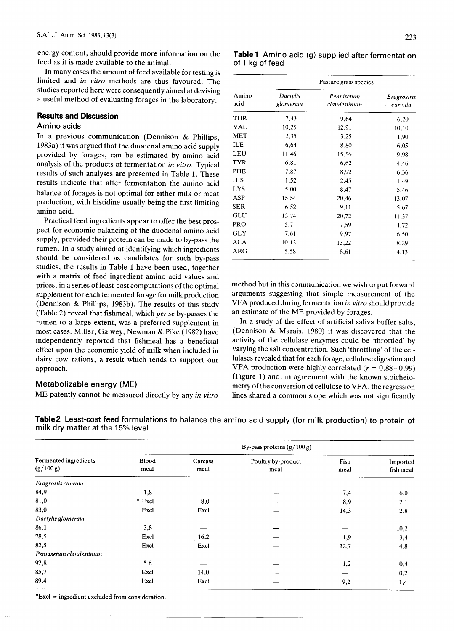energy content, should provide more information on the feed as it is made available to the animal.

In many cases the amount of feed available for testing is limited and *in vitro* methods are thus favoured. The studies reported here were consequently aimed at devising a useful method of evaluating forages in the laboratory.

## **Results and Discussion**

## Amino acids

In a previous communication (Dennison  $\&$  Phillips, 1983a) it was argued that the duodenal amino acid supply provided by forages, can be estimated by amino acid analysis of the products of fermentation *in vitro.* Typical results of such analyses are presented in Table 1. These results indicate that after fermentation the amino acid balance of forages is not optimal for either milk or meat production, with histidine usually being the first limiting amino acid.

Practical feed ingredients appear to offer the best prospect for economic balancing of the duodenal amino acid supply, provided their protein can be made to by-pass the rumen. In a study aimed at identifying which ingredients should be considered as candidates for such by-pass studies, the results in Table 1 have been used, together with a matrix of feed ingredient amino acid values and prices, in a series of least-cost computations of the optimal supplement for each fermented forage for milk production (Dennison & Phillips, 1983b). The results of this study (Table 2) reveal that fishmeal, which *per se* by-passes the rumen to a large extent, was a preferred supplement in most cases. Miller, Galwey, Newman & Pike (1982) have independently reported that fishmeal has a beneficial effect upon the economic yield of milk when included in dairy cow rations, a result which tends to support our approach.

### Metabolizable energy (ME)

ME patently cannot be measured directly by any *in vitro*

| -- | × |
|----|---|

**Table 1** Amino acid (g) supplied after fermentation of 1 kg of feed

|               | Pasture grass species        |                            |                        |  |  |  |
|---------------|------------------------------|----------------------------|------------------------|--|--|--|
| Amino<br>acid | <b>Dactylis</b><br>glomerata | Pennisetum<br>clandestinum | Eragrostris<br>curvula |  |  |  |
| THR           | 7.43                         | 9,64                       | 6,20                   |  |  |  |
| VAL           | 10,25                        | 12,91                      | 10,10                  |  |  |  |
| MET           | 2,35                         | 3,25                       | 1,90                   |  |  |  |
| ILE           | 6,64                         | 8,80                       | 6,05                   |  |  |  |
| LEU           | 11,46                        | 15,56                      | 9,98                   |  |  |  |
| <b>TYR</b>    | 6.81                         | 6,62                       | 4,46                   |  |  |  |
| <b>PHE</b>    | 7,87                         | 8,92                       | 6,36                   |  |  |  |
| <b>HIS</b>    | 1,52                         | 2,45                       | 1,49                   |  |  |  |
| <b>LYS</b>    | 5,00                         | 8,47                       | 5.46                   |  |  |  |
| ASP           | 15,54                        | 20,46                      | 13,07                  |  |  |  |
| <b>SER</b>    | 6,52                         | 9,11                       | 5,67                   |  |  |  |
| GLU           | 15,74                        | 20,72                      | 11,37                  |  |  |  |
| <b>PRO</b>    | 5,7                          | 7.59                       | 4.72                   |  |  |  |
| GLY           | 7,61                         | 9,97                       | 6.50                   |  |  |  |
| ALA           | 10,13                        | 13,22                      | 8,29                   |  |  |  |
| ARG           | 5,58                         | 8,61                       | 4,13                   |  |  |  |

method but in this communication we wish to put forward arguments suggesting that simple measurement of the VF A produced during fermentation *in vitro* should provide an estimate of the ME provided by forages.

In a study of the effect of artificial saliva buffer salts, (Dennison & Marais, 1980) it was discovered that the activity of the cellulase enzymes could be 'throttled' by varying the salt concentration. Such 'throttling' of the cellulases revealed that for each forage, cellulose digestion and VFA production were highly correlated  $(r = 0.88 - 0.99)$ (Figure 1) and, in agreement with the known stoicheiometry of the conversion of cellulose to VFA, the regression lines shared a common slope which was not significantly

|  | Table 2 Least-cost feed formulations to balance the amino acid supply (for milk production) to protein of |  |  |  |  |
|--|-----------------------------------------------------------------------------------------------------------|--|--|--|--|
|  | milk dry matter at the 15% level                                                                          |  |  |  |  |

|                                    | By-pass proteins $(g/100 g)$ |                 |                            |              |                       |  |  |
|------------------------------------|------------------------------|-----------------|----------------------------|--------------|-----------------------|--|--|
| Fermented ingredients<br>(g/100 g) | <b>Blood</b><br>meal         | Carcass<br>meal | Poultry by-product<br>meal | Fish<br>meal | Imported<br>fish meal |  |  |
| Eragrostis curvula                 |                              |                 |                            |              |                       |  |  |
| 84,9                               | 1,8                          |                 |                            | 7,4          | 6,0                   |  |  |
| 81,0                               | * Excl                       | 8,0             |                            | 8,9          | 2,1                   |  |  |
| 83,0                               | Excl                         | Excl            |                            | 14,3         | 2,8                   |  |  |
| Dactylis glomerata                 |                              |                 |                            |              |                       |  |  |
| 86,1                               | 3,8                          |                 |                            |              | 10,2                  |  |  |
| 78,5                               | Excl                         | 16,2            |                            | 1,9          | 3,4                   |  |  |
| 82,5                               | Excl                         | Excl            |                            | 12,7         | 4,8                   |  |  |
| Pennisetum clandestinum            |                              |                 |                            |              |                       |  |  |
| 92,8                               | 5,6                          |                 |                            | 1,2          | 0,4                   |  |  |
| 85,7                               | Excl                         | 14,0            |                            |              | 0,2                   |  |  |
| 89,4                               | Excl                         | Excl            |                            | 9,2          | 1,4                   |  |  |

 $*$ Excl = ingredient excluded from consideration.